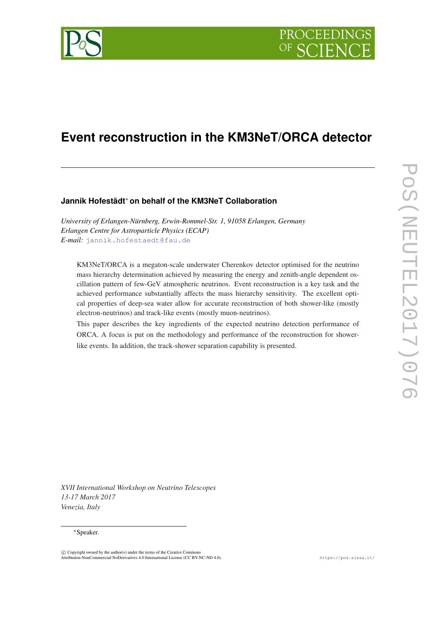

# **Event reconstruction in the KM3NeT/ORCA detector**

# **Jannik Hofestädt**<sup>∗</sup> **on behalf of the KM3NeT Collaboration**

*University of Erlangen-Nürnberg, Erwin-Rommel-Str. 1, 91058 Erlangen, Germany Erlangen Centre for Astroparticle Physics (ECAP) E-mail:* [jannik.hofestaedt@fau.de](mailto:jannik.hofestaedt@fau.de)

KM3NeT/ORCA is a megaton-scale underwater Cherenkov detector optimised for the neutrino mass hierarchy determination achieved by measuring the energy and zenith-angle dependent oscillation pattern of few-GeV atmospheric neutrinos. Event reconstruction is a key task and the achieved performance substantially affects the mass hierarchy sensitivity. The excellent optical properties of deep-sea water allow for accurate reconstruction of both shower-like (mostly electron-neutrinos) and track-like events (mostly muon-neutrinos).

This paper describes the key ingredients of the expected neutrino detection performance of ORCA. A focus is put on the methodology and performance of the reconstruction for showerlike events. In addition, the track-shower separation capability is presented.

*XVII International Workshop on Neutrino Telescopes 13-17 March 2017 Venezia, Italy*

### <sup>∗</sup>Speaker.

 $\overline{c}$  Copyright owned by the author(s) under the terms of the Creative Common Attribution-NonCommercial-NoDerivatives 4.0 International License (CC BY-NC-ND 4.0). https://pos.sissa.it/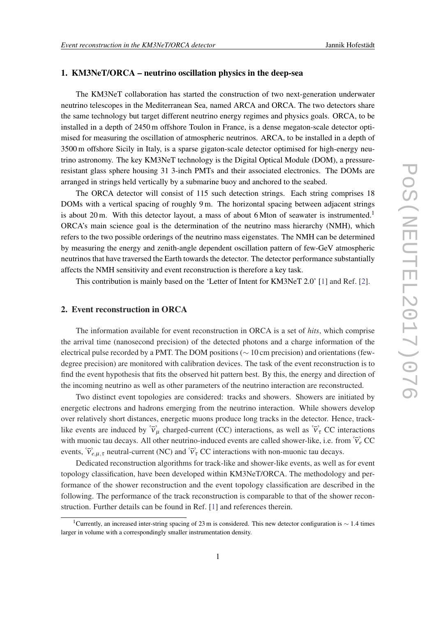# 1. KM3NeT/ORCA – neutrino oscillation physics in the deep-sea

The KM3NeT collaboration has started the construction of two next-generation underwater neutrino telescopes in the Mediterranean Sea, named ARCA and ORCA. The two detectors share the same technology but target different neutrino energy regimes and physics goals. ORCA, to be installed in a depth of 2450 m offshore Toulon in France, is a dense megaton-scale detector optimised for measuring the oscillation of atmospheric neutrinos. ARCA, to be installed in a depth of 3500 m offshore Sicily in Italy, is a sparse gigaton-scale detector optimised for high-energy neutrino astronomy. The key KM3NeT technology is the Digital Optical Module (DOM), a pressureresistant glass sphere housing 31 3-inch PMTs and their associated electronics. The DOMs are arranged in strings held vertically by a submarine buoy and anchored to the seabed.

The ORCA detector will consist of 115 such detection strings. Each string comprises 18 DOMs with a vertical spacing of roughly 9 m. The horizontal spacing between adjacent strings is about 20 m. With this detector layout, a mass of about 6 Mton of seawater is instrumented.<sup>1</sup> ORCA's main science goal is the determination of the neutrino mass hierarchy (NMH), which refers to the two possible orderings of the neutrino mass eigenstates. The NMH can be determined by measuring the energy and zenith-angle dependent oscillation pattern of few-GeV atmospheric neutrinos that have traversed the Earth towards the detector. The detector performance substantially affects the NMH sensitivity and event reconstruction is therefore a key task.

This contribution is mainly based on the 'Letter of Intent for KM3NeT 2.0' [[1](#page-3-0)] and Ref. [[2](#page-3-0)].

# 2. Event reconstruction in ORCA

The information available for event reconstruction in ORCA is a set of *hits*, which comprise the arrival time (nanosecond precision) of the detected photons and a charge information of the electrical pulse recorded by a PMT. The DOM positions (∼ 10 cm precision) and orientations (fewdegree precision) are monitored with calibration devices. The task of the event reconstruction is to find the event hypothesis that fits the observed hit pattern best. By this, the energy and direction of the incoming neutrino as well as other parameters of the neutrino interaction are reconstructed.

Two distinct event topologies are considered: tracks and showers. Showers are initiated by energetic electrons and hadrons emerging from the neutrino interaction. While showers develop over relatively short distances, energetic muons produce long tracks in the detector. Hence, tracklike events are induced by  $\overleftrightarrow{v}_\mu$  charged-current (CC) interactions, as well as  $\overleftrightarrow{v}_\tau$  CC interactions with muonic tau decays. All other neutrino-induced events are called shower-like, i.e. from  $\overleftrightarrow{v}_e$  CC events,  $\overleftrightarrow{v}_{e,\mu,\tau}$  neutral-current (NC) and  $\overleftrightarrow{v}_{\tau}$  CC interactions with non-muonic tau decays.

Dedicated reconstruction algorithms for track-like and shower-like events, as well as for event topology classification, have been developed within KM3NeT/ORCA. The methodology and performance of the shower reconstruction and the event topology classification are described in the following. The performance of the track reconstruction is comparable to that of the shower reconstruction. Further details can be found in Ref. [[1](#page-3-0)] and references therein.

<sup>&</sup>lt;sup>1</sup>Currently, an increased inter-string spacing of 23 m is considered. This new detector configuration is  $\sim$  1.4 times larger in volume with a correspondingly smaller instrumentation density.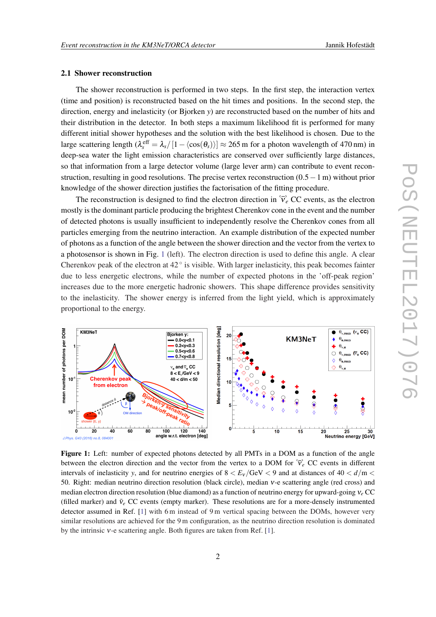### <span id="page-2-0"></span>2.1 Shower reconstruction

The shower reconstruction is performed in two steps. In the first step, the interaction vertex (time and position) is reconstructed based on the hit times and positions. In the second step, the direction, energy and inelasticity (or Bjorken *y*) are reconstructed based on the number of hits and their distribution in the detector. In both steps a maximum likelihood fit is performed for many different initial shower hypotheses and the solution with the best likelihood is chosen. Due to the large scattering length  $(\lambda_s^{\text{eff}} = \lambda_s/[1-\langle \cos(\theta_s) \rangle] \approx 265 \text{ m}$  for a photon wavelength of 470 nm) in deep-sea water the light emission characteristics are conserved over sufficiently large distances, so that information from a large detector volume (large lever arm) can contribute to event reconstruction, resulting in good resolutions. The precise vertex reconstruction (0.5−1 m) without prior knowledge of the shower direction justifies the factorisation of the fitting procedure.

The reconstruction is designed to find the electron direction in  $\tilde{v}_e$  CC events, as the electron mostly is the dominant particle producing the brightest Cherenkov cone in the event and the number of detected photons is usually insufficient to independently resolve the Cherenkov cones from all particles emerging from the neutrino interaction. An example distribution of the expected number of photons as a function of the angle between the shower direction and the vector from the vertex to a photosensor is shown in Fig. 1 (left). The electron direction is used to define this angle. A clear Cherenkov peak of the electron at  $42^\circ$  is visible. With larger inelasticity, this peak becomes fainter due to less energetic electrons, while the number of expected photons in the 'off-peak region' increases due to the more energetic hadronic showers. This shape difference provides sensitivity to the inelasticity. The shower energy is inferred from the light yield, which is approximately proportional to the energy.



Figure 1: Left: number of expected photons detected by all PMTs in a DOM as a function of the angle between the electron direction and the vector from the vertex to a DOM for  $\overrightarrow{v}_e$  CC events in different intervals of inelasticity *y*, and for neutrino energies of  $8 < E_v / GeV < 9$  and at distances of  $40 < d/m <$ 50. Right: median neutrino direction resolution (black circle), median ν-e scattering angle (red cross) and median electron direction resolution (blue diamond) as a function of neutrino energy for upward-going ν*<sup>e</sup>* CC (filled marker) and  $\bar{v}_e$  CC events (empty marker). These resolutions are for a more-densely instrumented detector assumed in Ref. [[1\]](#page-3-0) with 6 m instead of 9 m vertical spacing between the DOMs, however very similar resolutions are achieved for the 9 m configuration, as the neutrino direction resolution is dominated by the intrinsic ν-e scattering angle. Both figures are taken from Ref. [[1\]](#page-3-0).